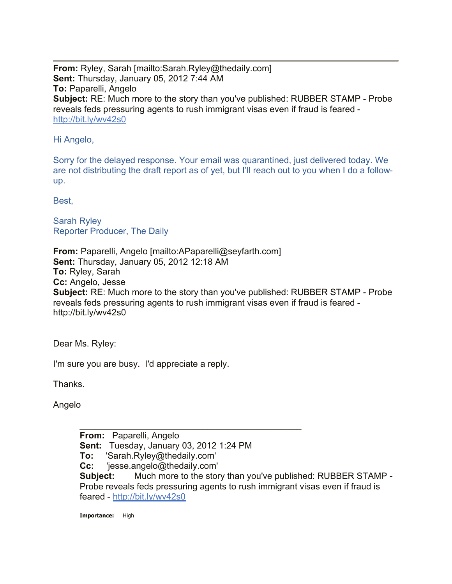**From:** Ryley, Sarah [mailto:Sarah.Ryley@thedaily.com] **Sent:** Thursday, January 05, 2012 7:44 AM **To:** Paparelli, Angelo **Subject:** RE: Much more to the story than you've published: RUBBER STAMP - Probe reveals feds pressuring agents to rush immigrant visas even if fraud is feared http://bit.ly/wv42s0

## Hi Angelo,

Sorry for the delayed response. Your email was quarantined, just delivered today. We are not distributing the draft report as of yet, but I'll reach out to you when I do a followup.

Best,

Sarah Ryley Reporter Producer, The Daily

**From:** Paparelli, Angelo [mailto:APaparelli@seyfarth.com] **Sent:** Thursday, January 05, 2012 12:18 AM **To:** Ryley, Sarah **Cc:** Angelo, Jesse **Subject:** RE: Much more to the story than you've published: RUBBER STAMP - Probe reveals feds pressuring agents to rush immigrant visas even if fraud is feared http://bit.ly/wv42s0

Dear Ms. Ryley:

I'm sure you are busy. I'd appreciate a reply.

Thanks.

Angelo

**From:** Paparelli, Angelo **Sent:** Tuesday, January 03, 2012 1:24 PM **To:** 'Sarah.Ryley@thedaily.com' **Cc:** 'jesse.angelo@thedaily.com' **Subject:** Much more to the story than you've published: RUBBER STAMP - Probe reveals feds pressuring agents to rush immigrant visas even if fraud is feared - http://bit.ly/wv42s0

 $\overline{\phantom{a}}$  , and the contract of the contract of the contract of the contract of the contract of the contract of the contract of the contract of the contract of the contract of the contract of the contract of the contrac